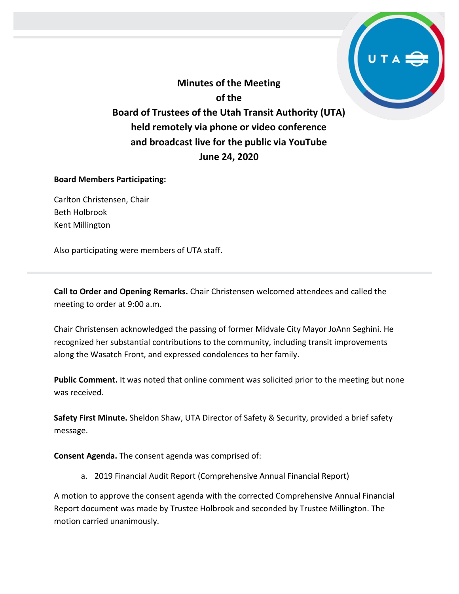**Minutes of the Meeting of the Board of Trustees of the Utah Transit Authority (UTA) held remotely via phone or video conference and broadcast live for the public via YouTube June 24, 2020**

#### **Board Members Participating:**

Carlton Christensen, Chair Beth Holbrook Kent Millington

Also participating were members of UTA staff.

**Call to Order and Opening Remarks.** Chair Christensen welcomed attendees and called the meeting to order at 9:00 a.m.

Chair Christensen acknowledged the passing of former Midvale City Mayor JoAnn Seghini. He recognized her substantial contributions to the community, including transit improvements along the Wasatch Front, and expressed condolences to her family.

**Public Comment.** It was noted that online comment was solicited prior to the meeting but none was received.

**Safety First Minute.** Sheldon Shaw, UTA Director of Safety & Security, provided a brief safety message.

**Consent Agenda.** The consent agenda was comprised of:

a. 2019 Financial Audit Report (Comprehensive Annual Financial Report)

A motion to approve the consent agenda with the corrected Comprehensive Annual Financial Report document was made by Trustee Holbrook and seconded by Trustee Millington. The motion carried unanimously.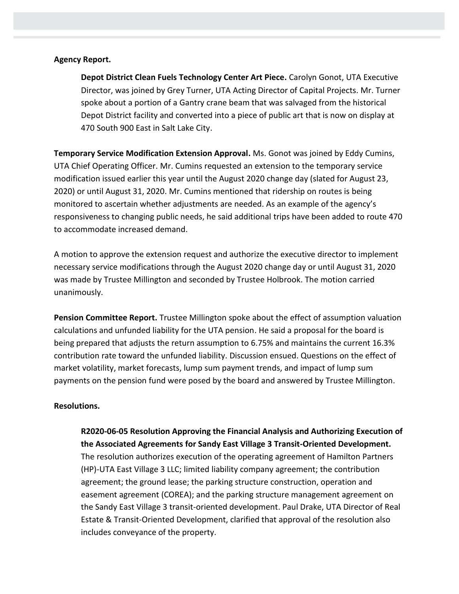#### **Agency Report.**

**Depot District Clean Fuels Technology Center Art Piece.** Carolyn Gonot, UTA Executive Director, was joined by Grey Turner, UTA Acting Director of Capital Projects. Mr. Turner spoke about a portion of a Gantry crane beam that was salvaged from the historical Depot District facility and converted into a piece of public art that is now on display at 470 South 900 East in Salt Lake City.

**Temporary Service Modification Extension Approval.** Ms. Gonot was joined by Eddy Cumins, UTA Chief Operating Officer. Mr. Cumins requested an extension to the temporary service modification issued earlier this year until the August 2020 change day (slated for August 23, 2020) or until August 31, 2020. Mr. Cumins mentioned that ridership on routes is being monitored to ascertain whether adjustments are needed. As an example of the agency's responsiveness to changing public needs, he said additional trips have been added to route 470 to accommodate increased demand.

A motion to approve the extension request and authorize the executive director to implement necessary service modifications through the August 2020 change day or until August 31, 2020 was made by Trustee Millington and seconded by Trustee Holbrook. The motion carried unanimously.

**Pension Committee Report.** Trustee Millington spoke about the effect of assumption valuation calculations and unfunded liability for the UTA pension. He said a proposal for the board is being prepared that adjusts the return assumption to 6.75% and maintains the current 16.3% contribution rate toward the unfunded liability. Discussion ensued. Questions on the effect of market volatility, market forecasts, lump sum payment trends, and impact of lump sum payments on the pension fund were posed by the board and answered by Trustee Millington.

#### **Resolutions.**

**R2020-06-05 Resolution Approving the Financial Analysis and Authorizing Execution of the Associated Agreements for Sandy East Village 3 Transit-Oriented Development.**  The resolution authorizes execution of the operating agreement of Hamilton Partners (HP)-UTA East Village 3 LLC; limited liability company agreement; the contribution agreement; the ground lease; the parking structure construction, operation and easement agreement (COREA); and the parking structure management agreement on the Sandy East Village 3 transit-oriented development. Paul Drake, UTA Director of Real Estate & Transit-Oriented Development, clarified that approval of the resolution also includes conveyance of the property.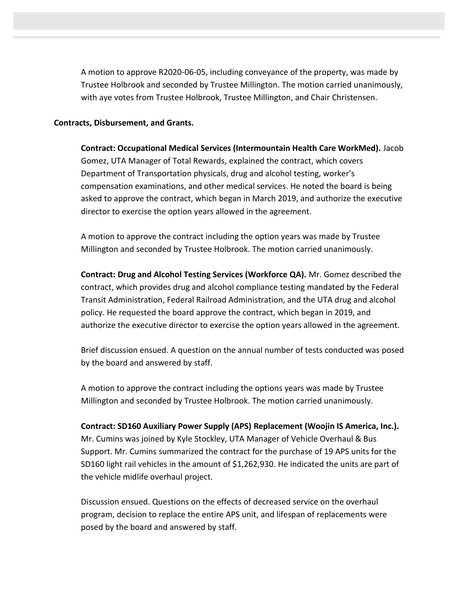A motion to approve R2020-06-05, including conveyance of the property, was made by Trustee Holbrook and seconded by Trustee Millington. The motion carried unanimously, with aye votes from Trustee Holbrook, Trustee Millington, and Chair Christensen.

#### **Contracts, Disbursement, and Grants.**

**Contract: Occupational Medical Services (Intermountain Health Care WorkMed).** Jacob Gomez, UTA Manager of Total Rewards, explained the contract, which covers Department of Transportation physicals, drug and alcohol testing, worker's compensation examinations, and other medical services. He noted the board is being asked to approve the contract, which began in March 2019, and authorize the executive director to exercise the option years allowed in the agreement.

A motion to approve the contract including the option years was made by Trustee Millington and seconded by Trustee Holbrook. The motion carried unanimously.

**Contract: Drug and Alcohol Testing Services (Workforce QA).** Mr. Gomez described the contract, which provides drug and alcohol compliance testing mandated by the Federal Transit Administration, Federal Railroad Administration, and the UTA drug and alcohol policy. He requested the board approve the contract, which began in 2019, and authorize the executive director to exercise the option years allowed in the agreement.

Brief discussion ensued. A question on the annual number of tests conducted was posed by the board and answered by staff.

A motion to approve the contract including the options years was made by Trustee Millington and seconded by Trustee Holbrook. The motion carried unanimously.

# **Contract: SD160 Auxiliary Power Supply (APS) Replacement (Woojin IS America, Inc.).**

Mr. Cumins was joined by Kyle Stockley, UTA Manager of Vehicle Overhaul & Bus Support. Mr. Cumins summarized the contract for the purchase of 19 APS units for the SD160 light rail vehicles in the amount of \$1,262,930. He indicated the units are part of the vehicle midlife overhaul project.

Discussion ensued. Questions on the effects of decreased service on the overhaul program, decision to replace the entire APS unit, and lifespan of replacements were posed by the board and answered by staff.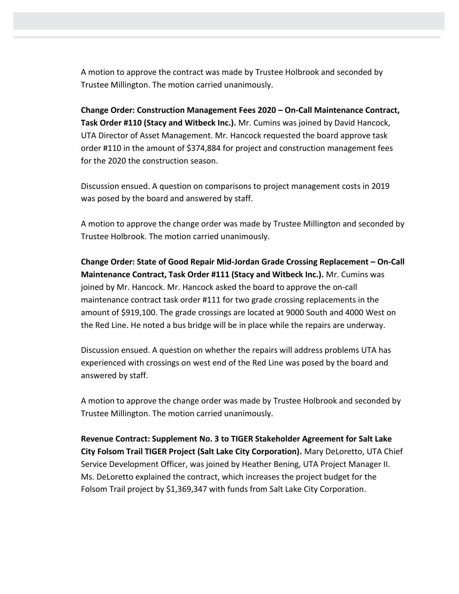A motion to approve the contract was made by Trustee Holbrook and seconded by Trustee Millington. The motion carried unanimously.

**Change Order: Construction Management Fees 2020 – On-Call Maintenance Contract, Task Order #110 (Stacy and Witbeck Inc.).** Mr. Cumins was joined by David Hancock, UTA Director of Asset Management. Mr. Hancock requested the board approve task order #110 in the amount of \$374,884 for project and construction management fees for the 2020 the construction season.

Discussion ensued. A question on comparisons to project management costs in 2019 was posed by the board and answered by staff.

A motion to approve the change order was made by Trustee Millington and seconded by Trustee Holbrook. The motion carried unanimously.

**Change Order: State of Good Repair Mid-Jordan Grade Crossing Replacement – On-Call Maintenance Contract, Task Order #111 (Stacy and Witbeck Inc.).** Mr. Cumins was joined by Mr. Hancock. Mr. Hancock asked the board to approve the on-call maintenance contract task order #111 for two grade crossing replacements in the amount of \$919,100. The grade crossings are located at 9000 South and 4000 West on the Red Line. He noted a bus bridge will be in place while the repairs are underway.

Discussion ensued. A question on whether the repairs will address problems UTA has experienced with crossings on west end of the Red Line was posed by the board and answered by staff.

A motion to approve the change order was made by Trustee Holbrook and seconded by Trustee Millington. The motion carried unanimously.

**Revenue Contract: Supplement No. 3 to TIGER Stakeholder Agreement for Salt Lake City Folsom Trail TIGER Project (Salt Lake City Corporation).** Mary DeLoretto, UTA Chief Service Development Officer, was joined by Heather Bening, UTA Project Manager II. Ms. DeLoretto explained the contract, which increases the project budget for the Folsom Trail project by \$1,369,347 with funds from Salt Lake City Corporation.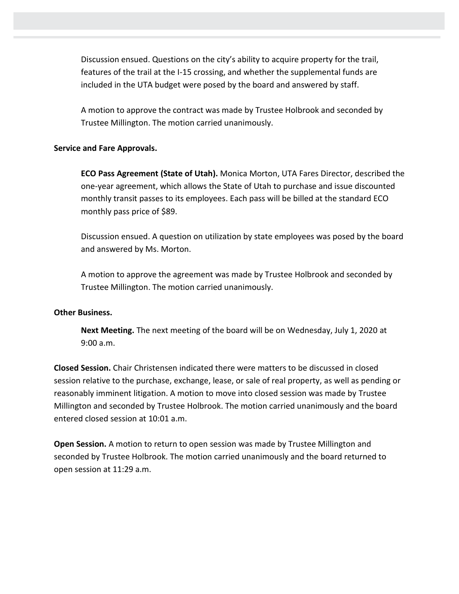Discussion ensued. Questions on the city's ability to acquire property for the trail, features of the trail at the I-15 crossing, and whether the supplemental funds are included in the UTA budget were posed by the board and answered by staff.

A motion to approve the contract was made by Trustee Holbrook and seconded by Trustee Millington. The motion carried unanimously.

## **Service and Fare Approvals.**

**ECO Pass Agreement (State of Utah).** Monica Morton, UTA Fares Director, described the one-year agreement, which allows the State of Utah to purchase and issue discounted monthly transit passes to its employees. Each pass will be billed at the standard ECO monthly pass price of \$89.

Discussion ensued. A question on utilization by state employees was posed by the board and answered by Ms. Morton.

A motion to approve the agreement was made by Trustee Holbrook and seconded by Trustee Millington. The motion carried unanimously.

### **Other Business.**

**Next Meeting.** The next meeting of the board will be on Wednesday, July 1, 2020 at 9:00 a.m.

**Closed Session.** Chair Christensen indicated there were matters to be discussed in closed session relative to the purchase, exchange, lease, or sale of real property, as well as pending or reasonably imminent litigation. A motion to move into closed session was made by Trustee Millington and seconded by Trustee Holbrook. The motion carried unanimously and the board entered closed session at 10:01 a.m.

**Open Session.** A motion to return to open session was made by Trustee Millington and seconded by Trustee Holbrook. The motion carried unanimously and the board returned to open session at 11:29 a.m.